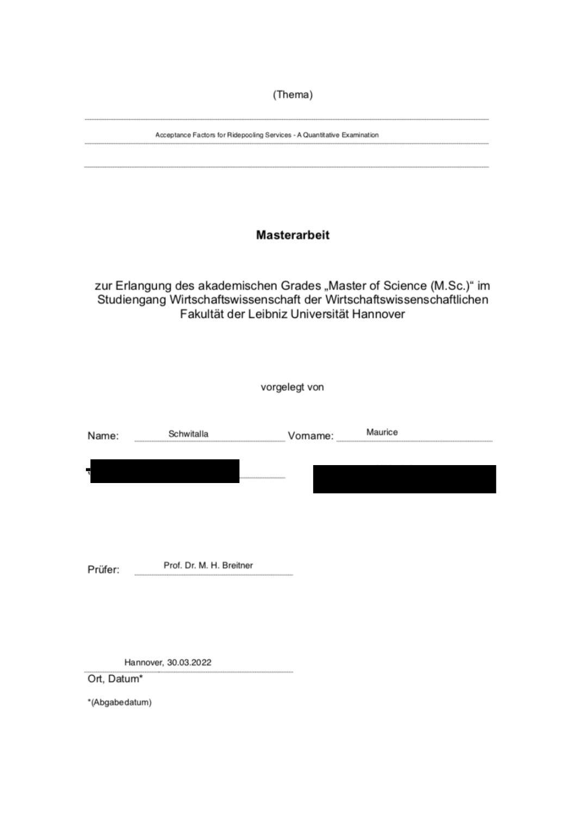(Thema)

Acceptance Factors for Ridepooling Services - A Quantitative Examination

### **Masterarbeit**

zur Erlangung des akademischen Grades "Master of Science (M.Sc.)" im<br>Studiengang Wirtschaftswissenschaft der Wirtschaftswissenschaftlichen Fakultät der Leibniz Universität Hannover

vorgelegt von

| Name:       | Schwitalla               | Vomame: | Maurice |
|-------------|--------------------------|---------|---------|
|             |                          |         |         |
|             |                          |         |         |
| Prüfer:     | Prof. Dr. M. H. Breitner |         |         |
|             |                          |         |         |
|             |                          |         |         |
|             | Hannover, 30.03.2022     |         |         |
| Ort, Datum* |                          |         |         |

\*(Abgabedatum)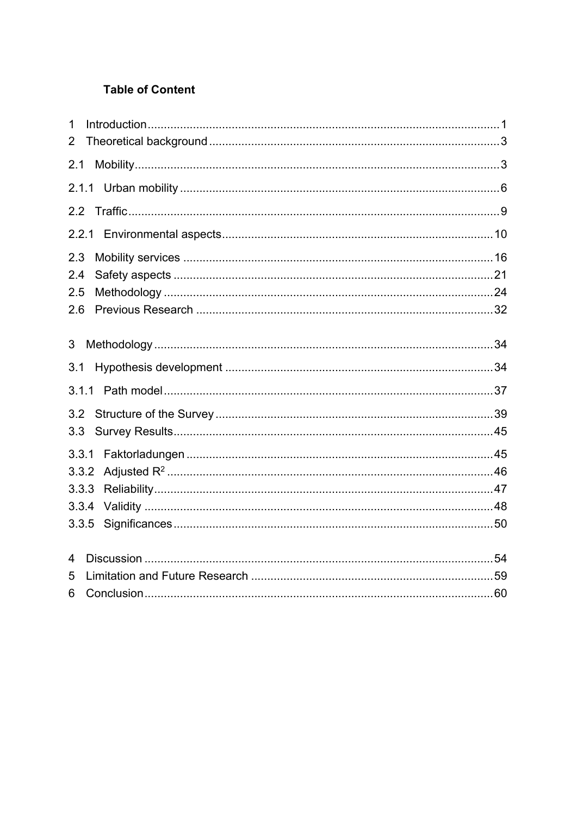### **Table of Content**

| 1<br>$\overline{2}$ |  |
|---------------------|--|
| 2.1                 |  |
|                     |  |
|                     |  |
|                     |  |
| 2.3                 |  |
| 2.4                 |  |
| 2.5                 |  |
| 2.6                 |  |
| 3                   |  |
| 3.1                 |  |
|                     |  |
| 3.2                 |  |
| 3.3                 |  |
| 3.3.1               |  |
| 3.3.2               |  |
| 3.3.3               |  |
| 3.3.4               |  |
|                     |  |
| 4                   |  |
| 5                   |  |
| 6                   |  |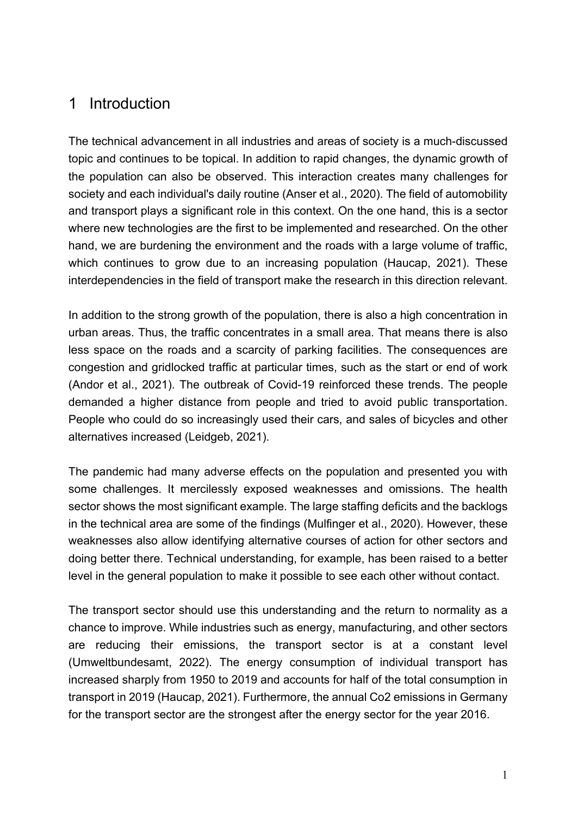## 1 Introduction

The technical advancement in all industries and areas of society is a much-discussed topic and continues to be topical. In addition to rapid changes, the dynamic growth of the population can also be observed. This interaction creates many challenges for society and each individual's daily routine (Anser et al., 2020). The field of automobility and transport plays a significant role in this context. On the one hand, this is a sector where new technologies are the first to be implemented and researched. On the other hand, we are burdening the environment and the roads with a large volume of traffic, which continues to grow due to an increasing population (Haucap, 2021). These interdependencies in the field of transport make the research in this direction relevant.

In addition to the strong growth of the population, there is also a high concentration in urban areas. Thus, the traffic concentrates in a small area. That means there is also less space on the roads and a scarcity of parking facilities. The consequences are congestion and gridlocked traffic at particular times, such as the start or end of work (Andor et al., 2021). The outbreak of Covid-19 reinforced these trends. The people demanded a higher distance from people and tried to avoid public transportation. People who could do so increasingly used their cars, and sales of bicycles and other alternatives increased (Leidgeb, 2021).

The pandemic had many adverse effects on the population and presented you with some challenges. It mercilessly exposed weaknesses and omissions. The health sector shows the most significant example. The large staffing deficits and the backlogs in the technical area are some of the findings (Mulfinger et al., 2020). However, these weaknesses also allow identifying alternative courses of action for other sectors and doing better there. Technical understanding, for example, has been raised to a better level in the general population to make it possible to see each other without contact.

The transport sector should use this understanding and the return to normality as a chance to improve. While industries such as energy, manufacturing, and other sectors are reducing their emissions, the transport sector is at a constant level (Umweltbundesamt, 2022). The energy consumption of individual transport has increased sharply from 1950 to 2019 and accounts for half of the total consumption in transport in 2019 (Haucap, 2021). Furthermore, the annual Co2 emissions in Germany for the transport sector are the strongest after the energy sector for the year 2016.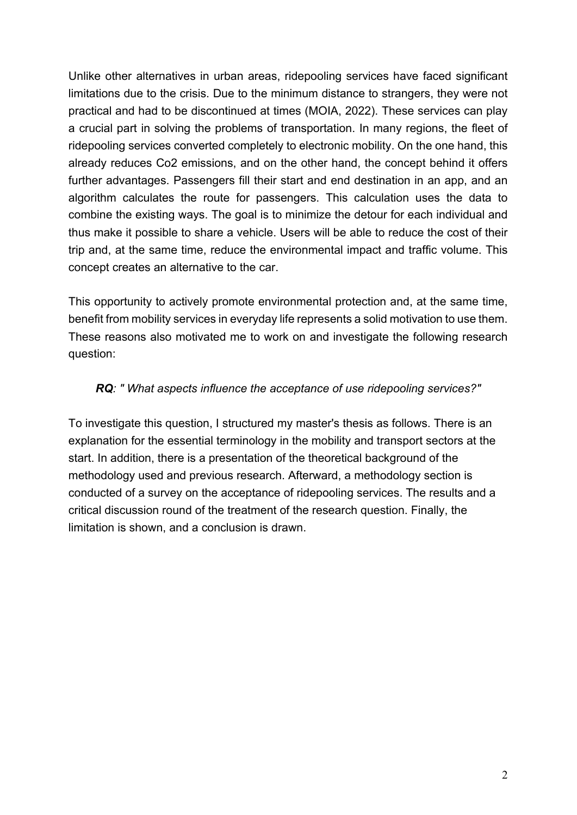Unlike other alternatives in urban areas, ridepooling services have faced significant limitations due to the crisis. Due to the minimum distance to strangers, they were not practical and had to be discontinued at times (MOIA, 2022). These services can play a crucial part in solving the problems of transportation. In many regions, the fleet of ridepooling services converted completely to electronic mobility. On the one hand, this already reduces Co2 emissions, and on the other hand, the concept behind it offers further advantages. Passengers fill their start and end destination in an app, and an algorithm calculates the route for passengers. This calculation uses the data to combine the existing ways. The goal is to minimize the detour for each individual and thus make it possible to share a vehicle. Users will be able to reduce the cost of their trip and, at the same time, reduce the environmental impact and traffic volume. This concept creates an alternative to the car.

This opportunity to actively promote environmental protection and, at the same time, benefit from mobility services in everyday life represents a solid motivation to use them. These reasons also motivated me to work on and investigate the following research question:

### *RQ: " What aspects influence the acceptance of use ridepooling services?"*

To investigate this question, I structured my master's thesis as follows. There is an explanation for the essential terminology in the mobility and transport sectors at the start. In addition, there is a presentation of the theoretical background of the methodology used and previous research. Afterward, a methodology section is conducted of a survey on the acceptance of ridepooling services. The results and a critical discussion round of the treatment of the research question. Finally, the limitation is shown, and a conclusion is drawn.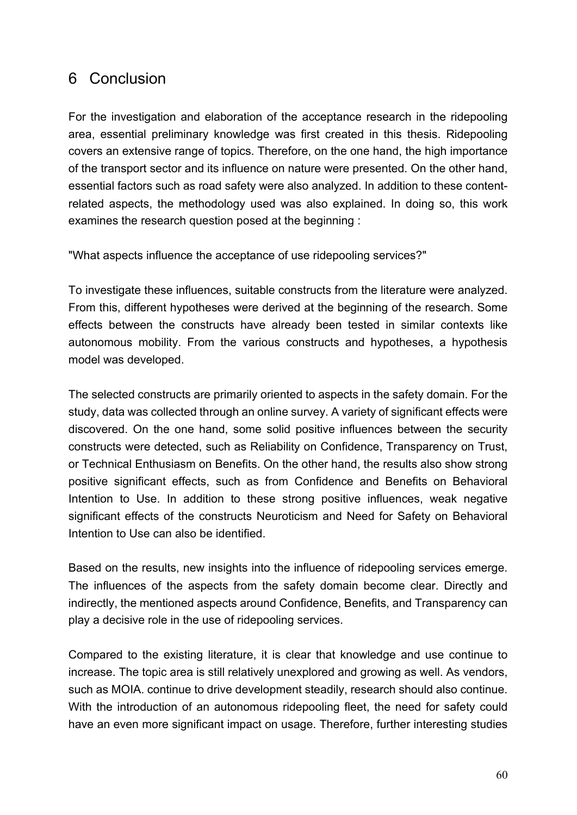# 6 Conclusion

For the investigation and elaboration of the acceptance research in the ridepooling area, essential preliminary knowledge was first created in this thesis. Ridepooling covers an extensive range of topics. Therefore, on the one hand, the high importance of the transport sector and its influence on nature were presented. On the other hand, essential factors such as road safety were also analyzed. In addition to these contentrelated aspects, the methodology used was also explained. In doing so, this work examines the research question posed at the beginning :

"What aspects influence the acceptance of use ridepooling services?"

To investigate these influences, suitable constructs from the literature were analyzed. From this, different hypotheses were derived at the beginning of the research. Some effects between the constructs have already been tested in similar contexts like autonomous mobility. From the various constructs and hypotheses, a hypothesis model was developed.

The selected constructs are primarily oriented to aspects in the safety domain. For the study, data was collected through an online survey. A variety of significant effects were discovered. On the one hand, some solid positive influences between the security constructs were detected, such as Reliability on Confidence, Transparency on Trust, or Technical Enthusiasm on Benefits. On the other hand, the results also show strong positive significant effects, such as from Confidence and Benefits on Behavioral Intention to Use. In addition to these strong positive influences, weak negative significant effects of the constructs Neuroticism and Need for Safety on Behavioral Intention to Use can also be identified.

Based on the results, new insights into the influence of ridepooling services emerge. The influences of the aspects from the safety domain become clear. Directly and indirectly, the mentioned aspects around Confidence, Benefits, and Transparency can play a decisive role in the use of ridepooling services.

Compared to the existing literature, it is clear that knowledge and use continue to increase. The topic area is still relatively unexplored and growing as well. As vendors, such as MOIA. continue to drive development steadily, research should also continue. With the introduction of an autonomous ridepooling fleet, the need for safety could have an even more significant impact on usage. Therefore, further interesting studies